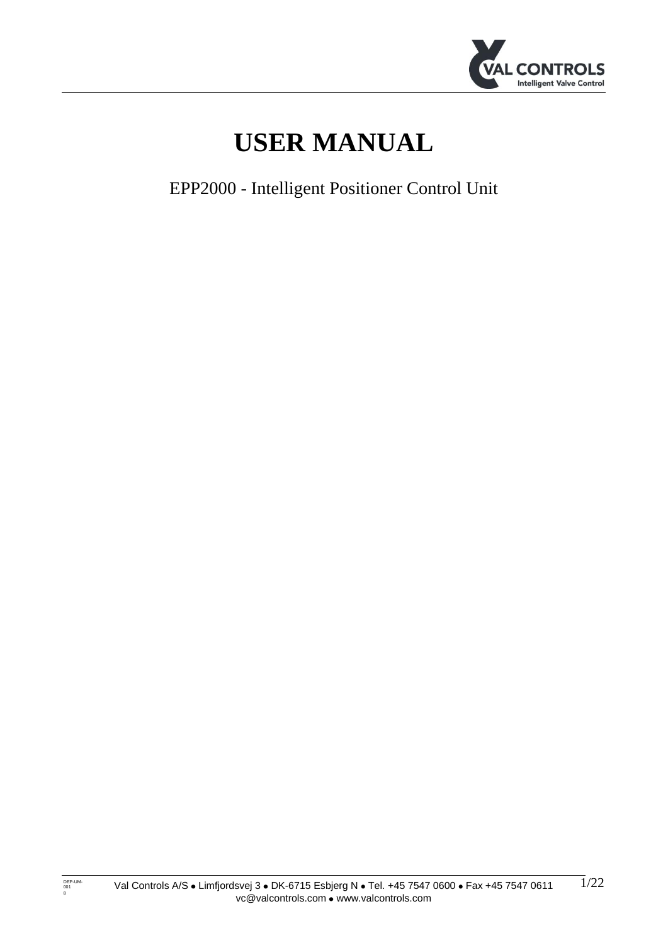

# **USER MANUAL**

EPP2000 - Intelligent Positioner Control Unit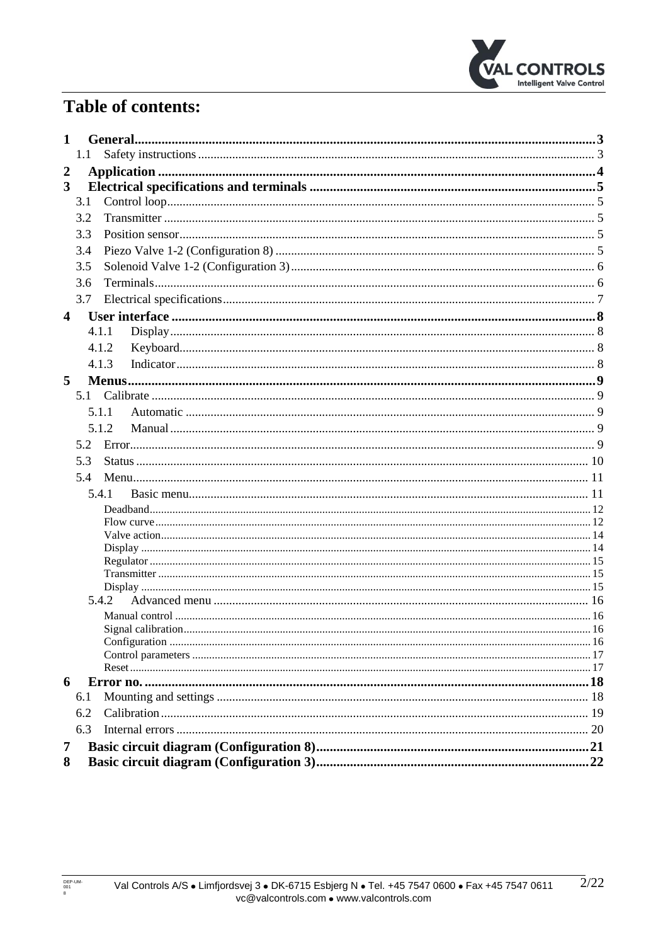

# **Table of contents:**

| 1.1<br>$\boldsymbol{2}$<br>3<br>3.1<br>3.2<br>3.3<br>3.4<br>3.5<br>3.6<br>3.7<br>4<br>4.1.1<br>4.1.2<br>4.1.3<br>5<br>5.1.1<br>5.1.2<br>5.2<br>5.3<br>5.4 |  |  |  |  |  |
|-----------------------------------------------------------------------------------------------------------------------------------------------------------|--|--|--|--|--|
|                                                                                                                                                           |  |  |  |  |  |
|                                                                                                                                                           |  |  |  |  |  |
|                                                                                                                                                           |  |  |  |  |  |
|                                                                                                                                                           |  |  |  |  |  |
|                                                                                                                                                           |  |  |  |  |  |
|                                                                                                                                                           |  |  |  |  |  |
|                                                                                                                                                           |  |  |  |  |  |
|                                                                                                                                                           |  |  |  |  |  |
|                                                                                                                                                           |  |  |  |  |  |
|                                                                                                                                                           |  |  |  |  |  |
|                                                                                                                                                           |  |  |  |  |  |
|                                                                                                                                                           |  |  |  |  |  |
|                                                                                                                                                           |  |  |  |  |  |
|                                                                                                                                                           |  |  |  |  |  |
|                                                                                                                                                           |  |  |  |  |  |
|                                                                                                                                                           |  |  |  |  |  |
|                                                                                                                                                           |  |  |  |  |  |
|                                                                                                                                                           |  |  |  |  |  |
|                                                                                                                                                           |  |  |  |  |  |
|                                                                                                                                                           |  |  |  |  |  |
|                                                                                                                                                           |  |  |  |  |  |
| 5.4.1                                                                                                                                                     |  |  |  |  |  |
|                                                                                                                                                           |  |  |  |  |  |
|                                                                                                                                                           |  |  |  |  |  |
|                                                                                                                                                           |  |  |  |  |  |
|                                                                                                                                                           |  |  |  |  |  |
|                                                                                                                                                           |  |  |  |  |  |
|                                                                                                                                                           |  |  |  |  |  |
| 5.4.2                                                                                                                                                     |  |  |  |  |  |
|                                                                                                                                                           |  |  |  |  |  |
|                                                                                                                                                           |  |  |  |  |  |
|                                                                                                                                                           |  |  |  |  |  |
|                                                                                                                                                           |  |  |  |  |  |
| 6                                                                                                                                                         |  |  |  |  |  |
| 6.1                                                                                                                                                       |  |  |  |  |  |
| 6.2                                                                                                                                                       |  |  |  |  |  |
| 6.3                                                                                                                                                       |  |  |  |  |  |
| 7                                                                                                                                                         |  |  |  |  |  |
| 8                                                                                                                                                         |  |  |  |  |  |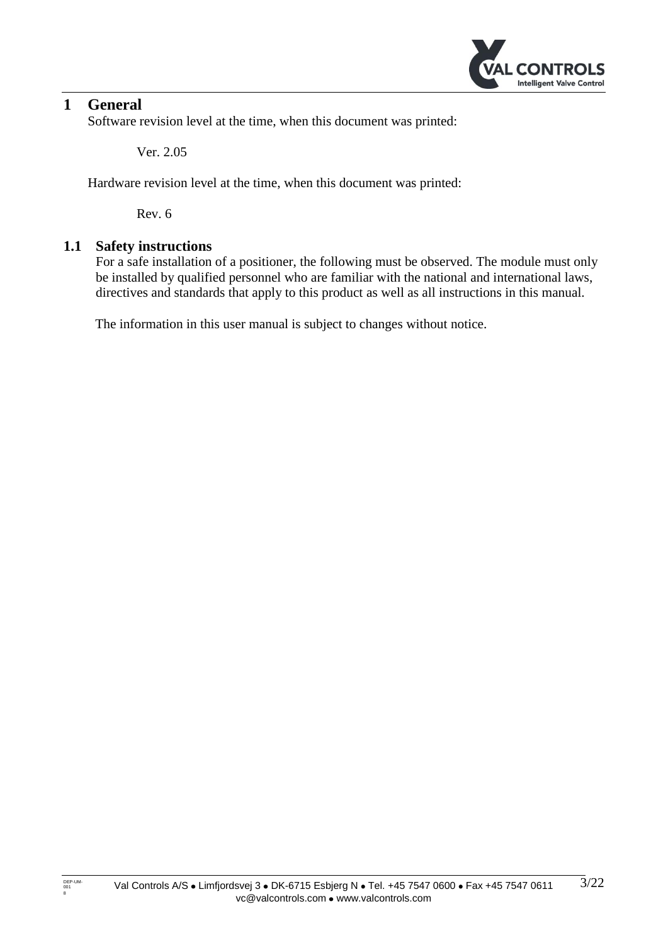

# <span id="page-2-0"></span>**1 General**

Software revision level at the time, when this document was printed:

Ver. 2.05

Hardware revision level at the time, when this document was printed:

Rev. 6

## <span id="page-2-1"></span>**1.1 Safety instructions**

For a safe installation of a positioner, the following must be observed. The module must only be installed by qualified personnel who are familiar with the national and international laws, directives and standards that apply to this product as well as all instructions in this manual.

The information in this user manual is subject to changes without notice.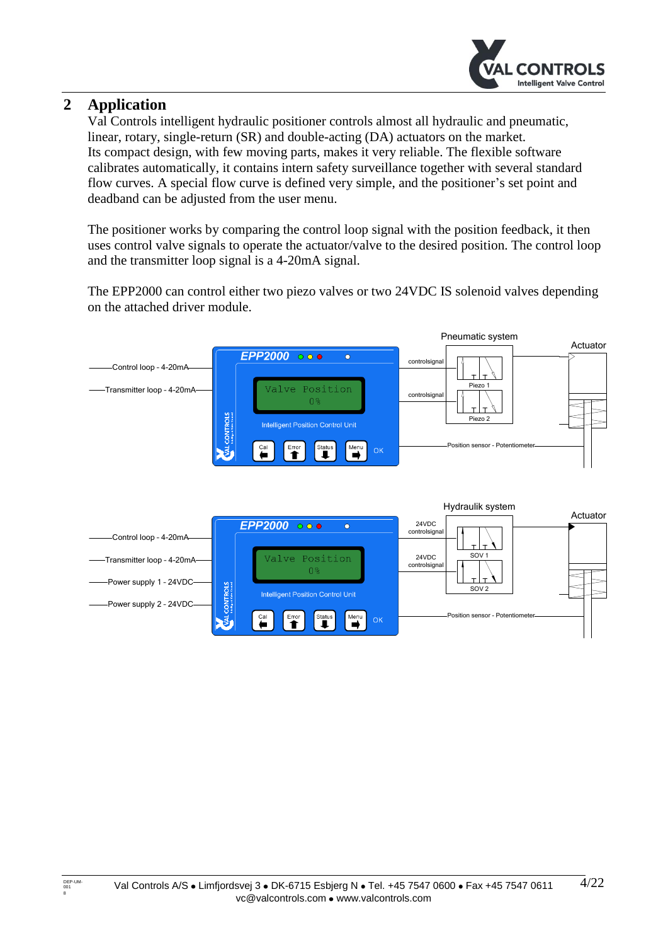

# <span id="page-3-0"></span>**2 Application**

Val Controls intelligent hydraulic positioner controls almost all hydraulic and pneumatic, linear, rotary, single-return (SR) and double-acting (DA) actuators on the market. Its compact design, with few moving parts, makes it very reliable. The flexible software calibrates automatically, it contains intern safety surveillance together with several standard flow curves. A special flow curve is defined very simple, and the positioner's set point and deadband can be adjusted from the user menu.

The positioner works by comparing the control loop signal with the position feedback, it then uses control valve signals to operate the actuator/valve to the desired position. The control loop and the transmitter loop signal is a 4-20mA signal.

The EPP2000 can control either two piezo valves or two 24VDC IS solenoid valves depending on the attached driver module.

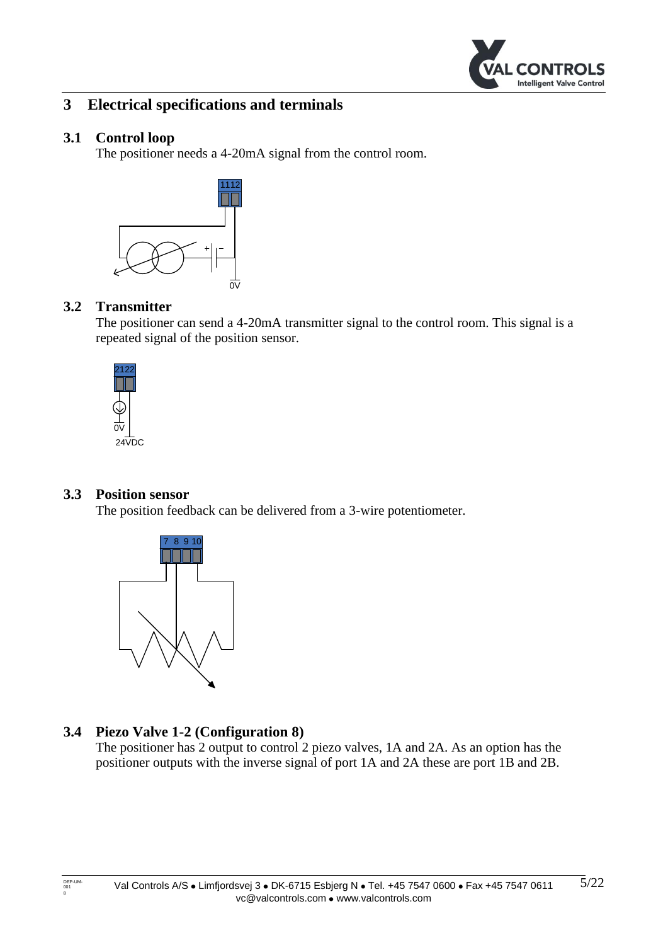

# <span id="page-4-0"></span>**3 Electrical specifications and terminals**

#### <span id="page-4-1"></span>**3.1 Control loop**

The positioner needs a 4-20mA signal from the control room.



#### <span id="page-4-2"></span>**3.2 Transmitter**

The positioner can send a 4-20mA transmitter signal to the control room. This signal is a repeated signal of the position sensor.



#### <span id="page-4-3"></span>**3.3 Position sensor**

The position feedback can be delivered from a 3-wire potentiometer.



# <span id="page-4-4"></span>**3.4 Piezo Valve 1-2 (Configuration 8)**

The positioner has 2 output to control 2 piezo valves, 1A and 2A. As an option has the positioner outputs with the inverse signal of port 1A and 2A these are port 1B and 2B.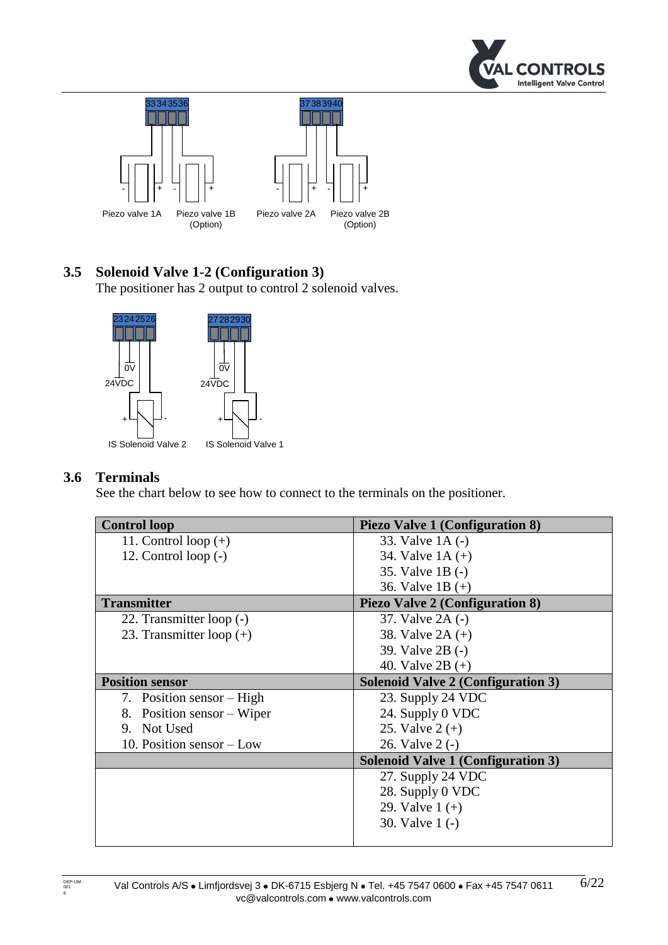



# <span id="page-5-0"></span>**3.5 Solenoid Valve 1-2 (Configuration 3)**

The positioner has 2 output to control 2 solenoid valves.



#### <span id="page-5-1"></span>**3.6 Terminals**

See the chart below to see how to connect to the terminals on the positioner.

| <b>Control loop</b>        | <b>Piezo Valve 1 (Configuration 8)</b>    |
|----------------------------|-------------------------------------------|
| 11. Control loop $(+)$     | 33. Valve 1A (-)                          |
| 12. Control loop $(-)$     | 34. Valve $1A (+)$                        |
|                            | 35. Valve 1B (-)                          |
|                            | 36. Valve 1B $(+)$                        |
| <b>Transmitter</b>         | <b>Piezo Valve 2 (Configuration 8)</b>    |
| 22. Transmitter loop (-)   | 37. Valve 2A (-)                          |
| 23. Transmitter loop $(+)$ | 38. Valve $2A (+)$                        |
|                            | 39. Valve 2B (-)                          |
|                            | 40. Valve $2B (+)$                        |
| <b>Position sensor</b>     | <b>Solenoid Valve 2 (Configuration 3)</b> |
| 7. Position sensor – High  | 23. Supply 24 VDC                         |
| 8. Position sensor – Wiper | 24. Supply 0 VDC                          |
| 9. Not Used                | 25. Valve $2 (+)$                         |
| 10. Position sensor – Low  | 26. Valve 2 (-)                           |
|                            | <b>Solenoid Valve 1 (Configuration 3)</b> |
|                            | 27. Supply 24 VDC                         |
|                            | 28. Supply 0 VDC                          |
|                            | 29. Valve $1 (+)$                         |
|                            | 30. Valve 1 (-)                           |
|                            |                                           |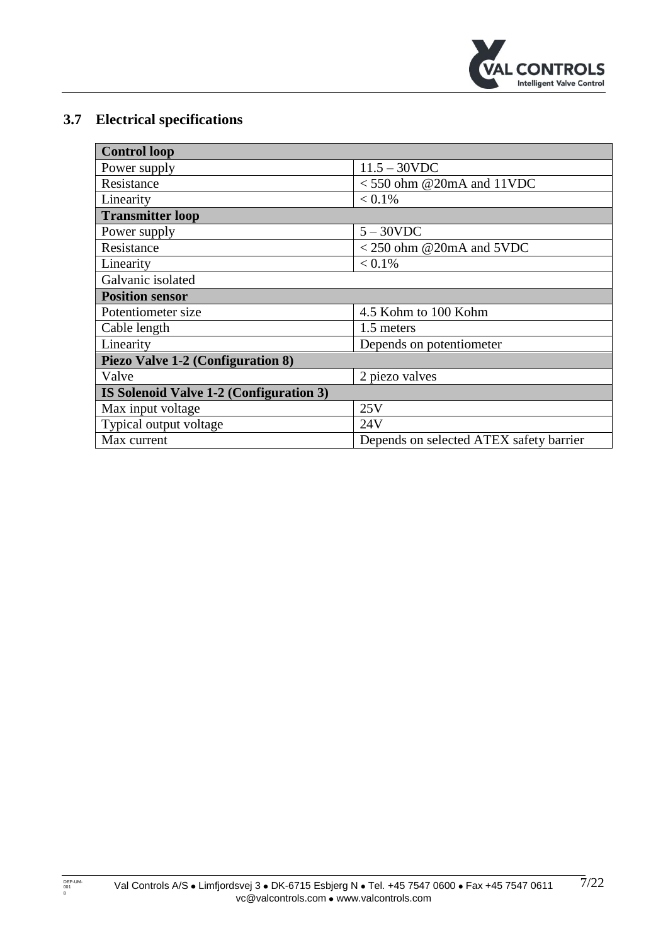

# <span id="page-6-0"></span>**3.7 Electrical specifications**

| <b>Control loop</b>                     |                                         |  |  |  |
|-----------------------------------------|-----------------------------------------|--|--|--|
| Power supply                            | $11.5 - 30$ VDC                         |  |  |  |
| Resistance                              | $<$ 550 ohm @20mA and 11VDC             |  |  |  |
| Linearity                               | $< 0.1\%$                               |  |  |  |
| <b>Transmitter loop</b>                 |                                         |  |  |  |
| Power supply                            | $5 - 30$ VDC                            |  |  |  |
| Resistance                              | $<$ 250 ohm @20mA and 5VDC              |  |  |  |
| Linearity                               | $< 0.1\%$                               |  |  |  |
| Galvanic isolated                       |                                         |  |  |  |
| <b>Position sensor</b>                  |                                         |  |  |  |
| Potentiometer size                      | 4.5 Kohm to 100 Kohm                    |  |  |  |
| Cable length                            | 1.5 meters                              |  |  |  |
| Linearity                               | Depends on potentiometer                |  |  |  |
| Piezo Valve 1-2 (Configuration 8)       |                                         |  |  |  |
| Valve                                   | 2 piezo valves                          |  |  |  |
| IS Solenoid Valve 1-2 (Configuration 3) |                                         |  |  |  |
| Max input voltage                       | 25V                                     |  |  |  |
| Typical output voltage                  | 24V                                     |  |  |  |
| Max current                             | Depends on selected ATEX safety barrier |  |  |  |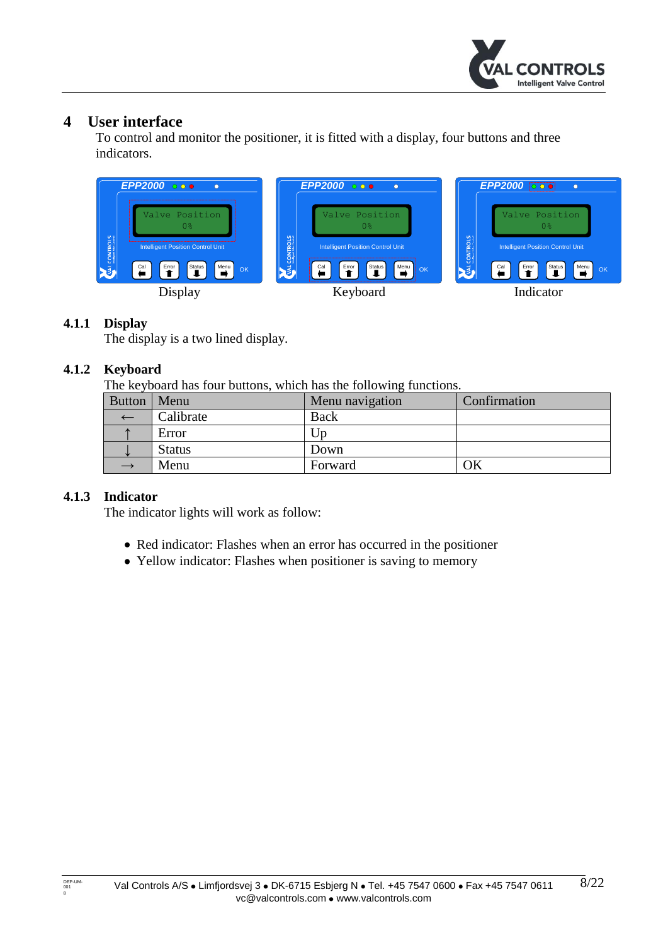

# <span id="page-7-0"></span>**4 User interface**

To control and monitor the positioner, it is fitted with a display, four buttons and three indicators.



#### <span id="page-7-1"></span>**4.1.1 Display**

The display is a two lined display.

#### <span id="page-7-2"></span>**4.1.2 Keyboard**

The keyboard has four buttons, which has the following functions.

|               |               | ັ               |              |
|---------------|---------------|-----------------|--------------|
| <b>Button</b> | Menu          | Menu navigation | Confirmation |
|               | Calibrate     | <b>Back</b>     |              |
|               | Error         | JD              |              |
|               | <b>Status</b> | Down            |              |
|               | Menu          | Forward         | ЭK           |

#### <span id="page-7-3"></span>**4.1.3 Indicator**

The indicator lights will work as follow:

- Red indicator: Flashes when an error has occurred in the positioner
- Yellow indicator: Flashes when positioner is saving to memory

DEP-UM-<br>001<br>8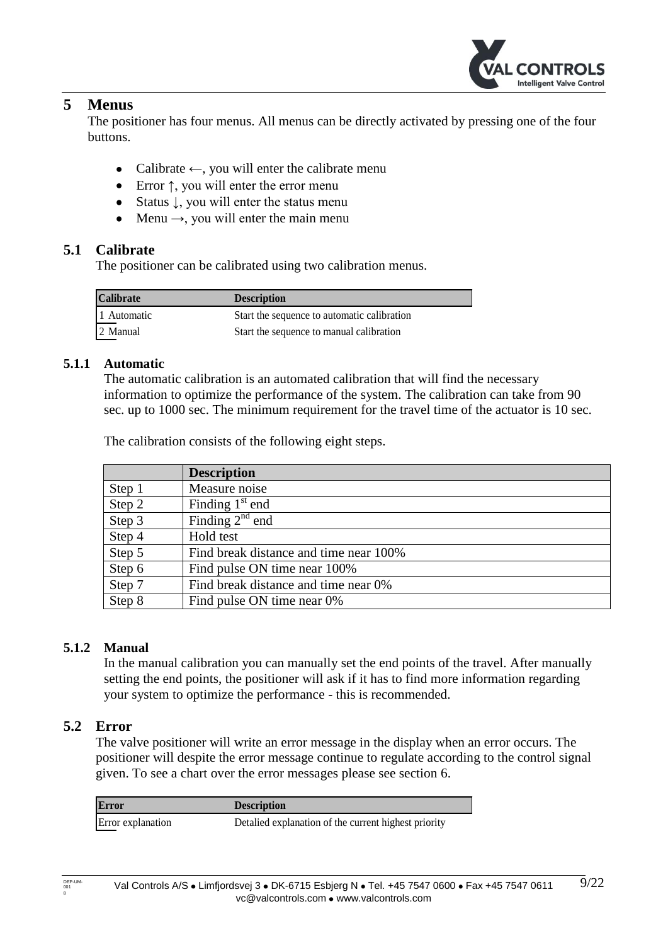

## <span id="page-8-0"></span>**5 Menus**

The positioner has four menus. All menus can be directly activated by pressing one of the four buttons.

- Calibrate  $\leftarrow$ , you will enter the calibrate menu
- Error ↑, you will enter the error menu
- Status ↓, you will enter the status menu
- Menu  $\rightarrow$ , you will enter the main menu

## <span id="page-8-1"></span>**5.1 Calibrate**

The positioner can be calibrated using two calibration menus.

| <b>Calibrate</b> | <b>Description</b>                          |
|------------------|---------------------------------------------|
| 1 Automatic      | Start the sequence to automatic calibration |
| 2 Manual         | Start the sequence to manual calibration    |

#### <span id="page-8-2"></span>**5.1.1 Automatic**

The automatic calibration is an automated calibration that will find the necessary information to optimize the performance of the system. The calibration can take from 90 sec. up to 1000 sec. The minimum requirement for the travel time of the actuator is 10 sec.

The calibration consists of the following eight steps.

|        | <b>Description</b>                     |
|--------|----------------------------------------|
| Step 1 | Measure noise                          |
| Step 2 | Finding $1st$ end                      |
| Step 3 | Finding $2^{nd}$ end                   |
| Step 4 | Hold test                              |
| Step 5 | Find break distance and time near 100% |
| Step 6 | Find pulse ON time near 100%           |
| Step 7 | Find break distance and time near 0%   |
| Step 8 | Find pulse ON time near 0%             |

#### <span id="page-8-3"></span>**5.1.2 Manual**

In the manual calibration you can manually set the end points of the travel. After manually setting the end points, the positioner will ask if it has to find more information regarding your system to optimize the performance - this is recommended.

#### <span id="page-8-4"></span>**5.2 Error**

The valve positioner will write an error message in the display when an error occurs. The positioner will despite the error message continue to regulate according to the control signal given. To see a chart over the error messages please see section [6.](#page-17-0)

| <b>Error</b>      | <b>Description</b>                                   |  |  |
|-------------------|------------------------------------------------------|--|--|
| Error explanation | Detalled explanation of the current highest priority |  |  |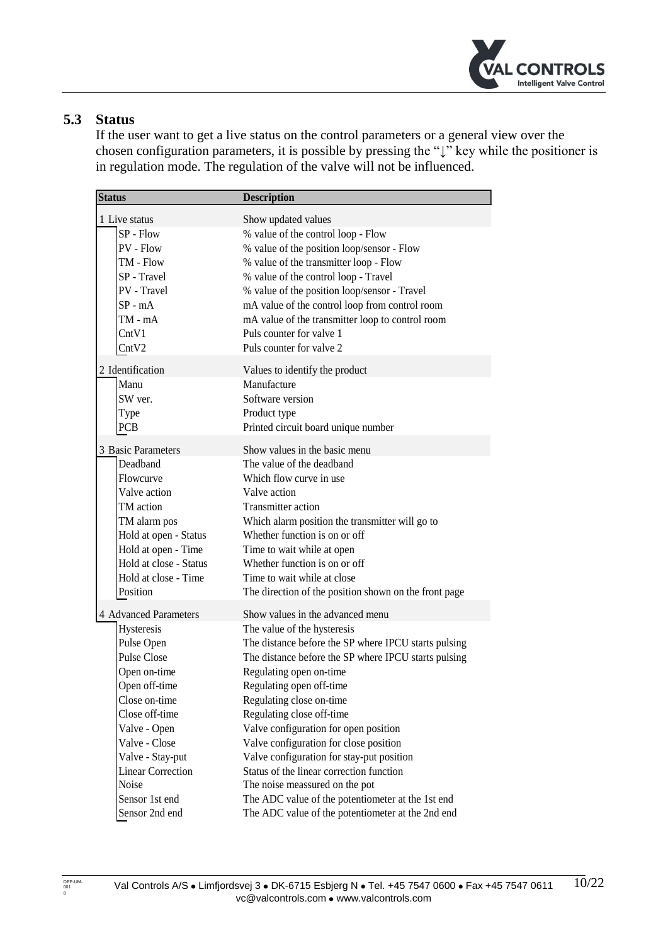

# <span id="page-9-0"></span>**5.3 Status**

If the user want to get a live status on the control parameters or a general view over the chosen configuration parameters, it is possible by pressing the "↓" key while the positioner is in regulation mode. The regulation of the valve will not be influenced.

| <b>Status</b>            | <b>Description</b>                                    |
|--------------------------|-------------------------------------------------------|
| 1 Live status            | Show updated values                                   |
| $SP - Flow$              | % value of the control loop - Flow                    |
| PV - Flow                | % value of the position loop/sensor - Flow            |
| TM - Flow                | % value of the transmitter loop - Flow                |
| SP - Travel              | % value of the control loop - Travel                  |
| PV - Travel              | % value of the position loop/sensor - Travel          |
| $SP - mA$                | mA value of the control loop from control room        |
| $TM - mA$                | mA value of the transmitter loop to control room      |
| CntV1                    | Puls counter for valve 1                              |
| CntV2                    | Puls counter for valve 2                              |
| 2 Identification         | Values to identify the product                        |
| Manu                     | Manufacture                                           |
| SW ver.                  | Software version                                      |
| Type                     | Product type                                          |
| <b>PCB</b>               | Printed circuit board unique number                   |
| 3 Basic Parameters       | Show values in the basic menu                         |
| Deadband                 | The value of the deadband                             |
| Flowcurve                | Which flow curve in use                               |
| Valve action             | Valve action                                          |
| TM action                | Transmitter action                                    |
| TM alarm pos             | Which alarm position the transmitter will go to       |
| Hold at open - Status    | Whether function is on or off                         |
| Hold at open - Time      | Time to wait while at open                            |
| Hold at close - Status   | Whether function is on or off                         |
| Hold at close - Time     | Time to wait while at close                           |
| Position                 | The direction of the position shown on the front page |
| 4 Advanced Parameters    | Show values in the advanced menu                      |
| Hysteresis               | The value of the hysteresis                           |
| Pulse Open               | The distance before the SP where IPCU starts pulsing  |
| <b>Pulse Close</b>       | The distance before the SP where IPCU starts pulsing  |
| Open on-time             | Regulating open on-time                               |
| Open off-time            | Regulating open off-time                              |
| Close on-time            | Regulating close on-time                              |
| Close off-time           | Regulating close off-time                             |
| Valve - Open             | Valve configuration for open position                 |
| Valve - Close            | Valve configuration for close position                |
| Valve - Stay-put         | Valve configuration for stay-put position             |
| <b>Linear Correction</b> | Status of the linear correction function              |
| Noise                    | The noise meassured on the pot                        |
| Sensor 1st end           | The ADC value of the potentiometer at the 1st end     |
| Sensor 2nd end           | The ADC value of the potentiometer at the 2nd end     |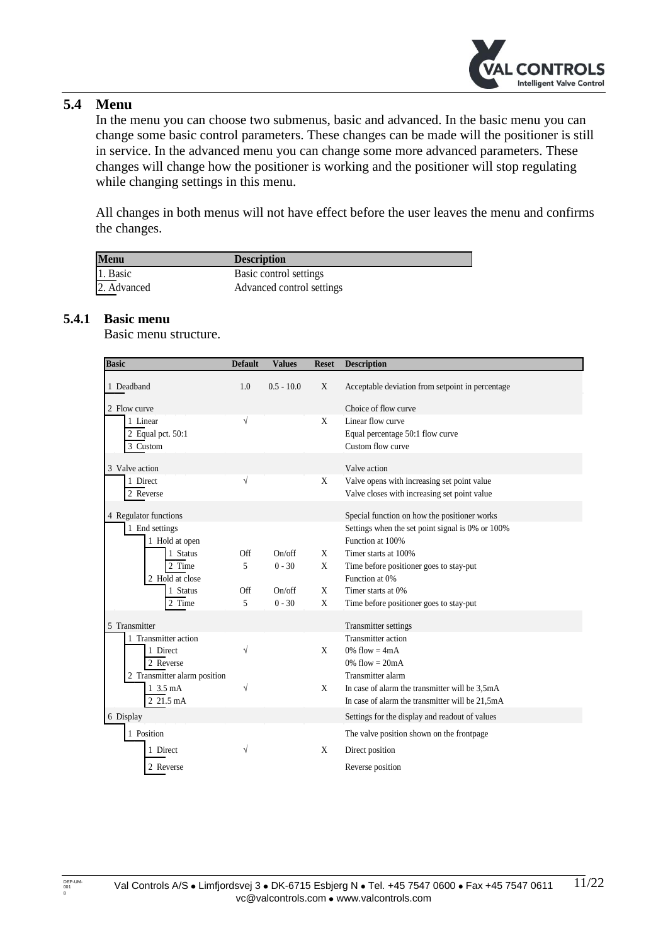

# <span id="page-10-0"></span>**5.4 Menu**

In the menu you can choose two submenus, basic and advanced. In the basic menu you can change some basic control parameters. These changes can be made will the positioner is still in service. In the advanced menu you can change some more advanced parameters. These changes will change how the positioner is working and the positioner will stop regulating while changing settings in this menu.

All changes in both menus will not have effect before the user leaves the menu and confirms the changes.

| <b>Menu</b>   | <b>Description</b>        |  |
|---------------|---------------------------|--|
| 1. Basic      | Basic control settings    |  |
| $2.$ Advanced | Advanced control settings |  |

#### <span id="page-10-1"></span>**5.4.1 Basic menu**

Basic menu structure.

| <b>Basic</b>                 | <b>Default</b> | <b>Values</b> | <b>Reset</b> | <b>Description</b>                               |
|------------------------------|----------------|---------------|--------------|--------------------------------------------------|
| 1 Deadband                   | 1.0            | $0.5 - 10.0$  | X            | Acceptable deviation from setpoint in percentage |
| 2 Flow curve                 |                |               |              | Choice of flow curve                             |
| 1 Linear                     | $\sqrt{}$      |               | X            | Linear flow curve                                |
| 2 Equal pct. 50:1            |                |               |              | Equal percentage 50:1 flow curve                 |
| 3 Custom                     |                |               |              | Custom flow curve                                |
| 3 Valve action               |                |               |              | Valve action                                     |
| 1 Direct                     | V              |               | X            | Valve opens with increasing set point value      |
| 2 Reverse                    |                |               |              | Valve closes with increasing set point value     |
|                              |                |               |              |                                                  |
| 4 Regulator functions        |                |               |              | Special function on how the positioner works     |
| 1 End settings               |                |               |              | Settings when the set point signal is 0% or 100% |
| 1 Hold at open               |                |               |              | Function at 100%                                 |
| 1 Status                     | Off            | On/off        | X            | Timer starts at 100%                             |
| 2 Time                       | 5              | $0 - 30$      | X            | Time before positioner goes to stay-put          |
| 2 Hold at close              |                |               |              | Function at 0%                                   |
| 1 Status                     | Off            | On/off        | X            | Timer starts at 0%                               |
| 2 Time                       | 5              | $0 - 30$      | X            | Time before positioner goes to stay-put          |
| 5 Transmitter                |                |               |              | Transmitter settings                             |
| Transmitter action           |                |               |              | Transmitter action                               |
| 1 Direct                     | $\sqrt{}$      |               | X            | $0\%$ flow = 4mA                                 |
| 2 Reverse                    |                |               |              | $0\%$ flow = $20mA$                              |
| 2 Transmitter alarm position |                |               |              | Transmitter alarm                                |
| 1 3.5 mA                     | V              |               | X            | In case of alarm the transmitter will be 3,5mA   |
| 2 21.5 mA                    |                |               |              | In case of alarm the transmitter will be 21,5mA  |
| 6 Display                    |                |               |              | Settings for the display and readout of values   |
| 1 Position                   |                |               |              | The valve position shown on the frontpage        |
| 1 Direct                     | V              |               | X            | Direct position                                  |
| 2 Reverse                    |                |               |              | Reverse position                                 |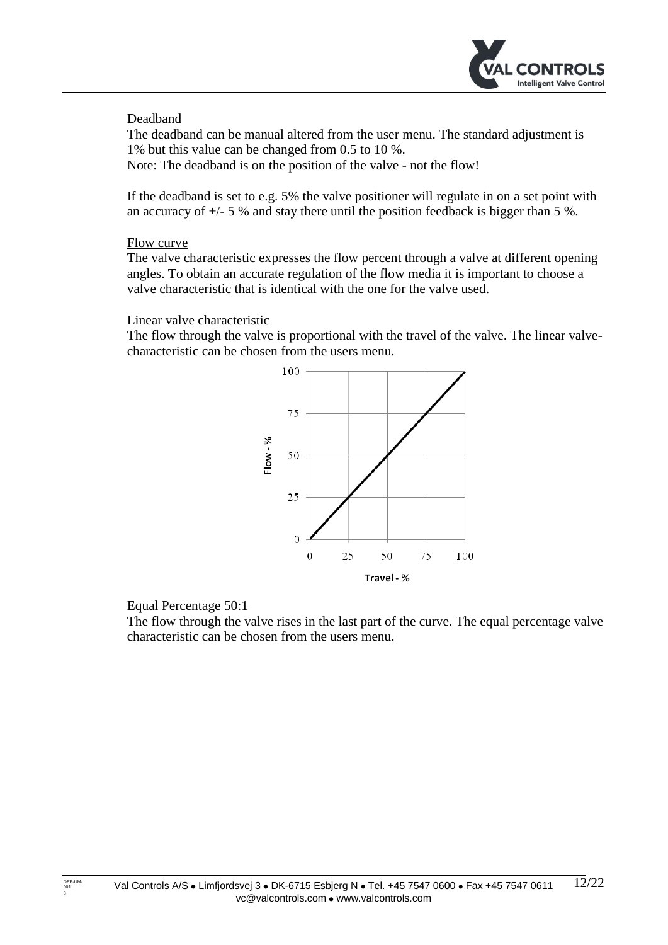

## <span id="page-11-0"></span>Deadband

The deadband can be manual altered from the user menu. The standard adjustment is 1% but this value can be changed from 0.5 to 10 %.

Note: The deadband is on the position of the valve - not the flow!

If the deadband is set to e.g. 5% the valve positioner will regulate in on a set point with an accuracy of  $+/- 5$  % and stay there until the position feedback is bigger than 5 %.

#### <span id="page-11-1"></span>Flow curve

The valve characteristic expresses the flow percent through a valve at different opening angles. To obtain an accurate regulation of the flow media it is important to choose a valve characteristic that is identical with the one for the valve used.

#### Linear valve characteristic

The flow through the valve is proportional with the travel of the valve. The linear valvecharacteristic can be chosen from the users menu.



#### Equal Percentage 50:1

The flow through the valve rises in the last part of the curve. The equal percentage valve characteristic can be chosen from the users menu.

DEP-UM<br>001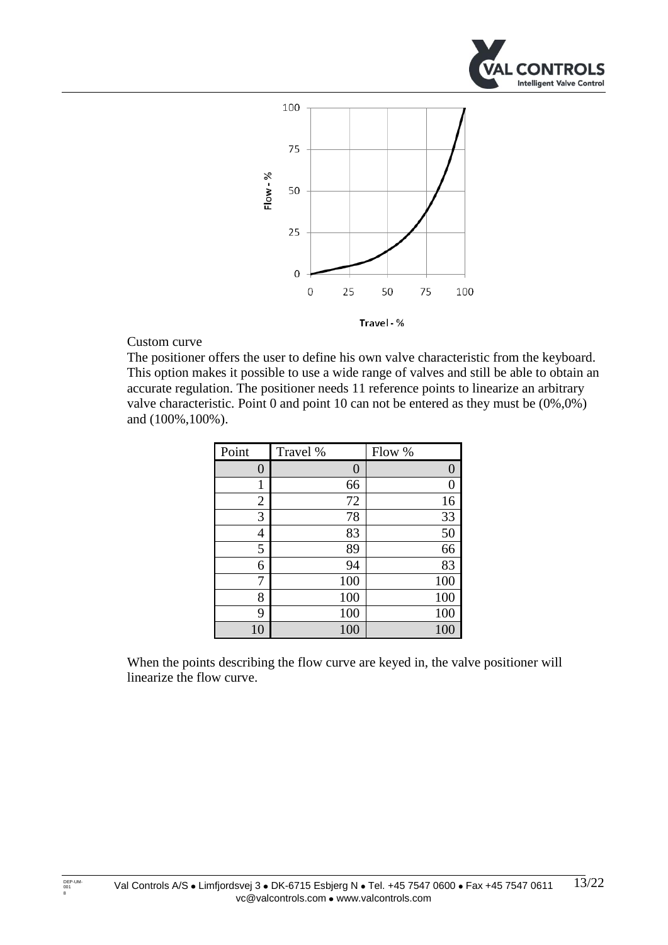



#### Custom curve

The positioner offers the user to define his own valve characteristic from the keyboard. This option makes it possible to use a wide range of valves and still be able to obtain an accurate regulation. The positioner needs 11 reference points to linearize an arbitrary valve characteristic. Point 0 and point 10 can not be entered as they must be (0%,0%) and (100%,100%).

| Point          | Travel % | Flow % |
|----------------|----------|--------|
| $\overline{0}$ | 0        | 0      |
| 1              | 66       | 0      |
| $\overline{2}$ | 72       | 16     |
| 3              | 78       | 33     |
| 4              | 83       | 50     |
| 5              | 89       | 66     |
| 6              | 94       | 83     |
| 7              | 100      | 100    |
| 8              | 100      | 100    |
| 9              | 100      | 100    |
| 10             | 100      | 100    |

When the points describing the flow curve are keyed in, the valve positioner will linearize the flow curve.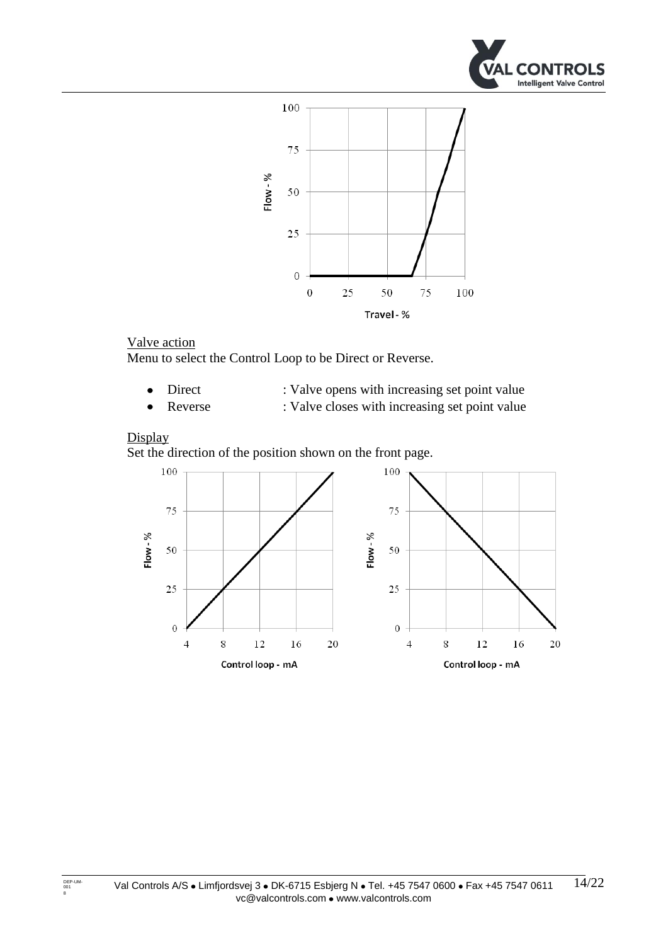



## <span id="page-13-0"></span>Valve action

Menu to select the Control Loop to be Direct or Reverse.

- Direct : Valve opens with increasing set point value  $\bullet$ 
	- Reverse : Valve closes with increasing set point value

#### <span id="page-13-1"></span>**Display**

Set the direction of the position shown on the front page.

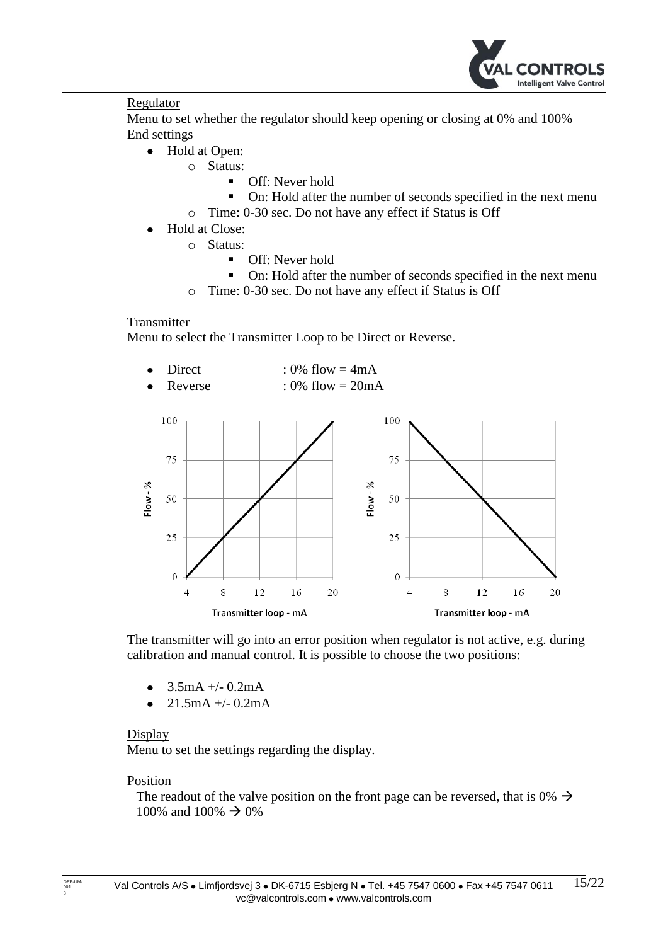

#### <span id="page-14-0"></span>Regulator

Menu to set whether the regulator should keep opening or closing at 0% and 100% End settings

- $\bullet$ Hold at Open:
	- o Status:
		- **Off:** Never hold
		- On: Hold after the number of seconds specified in the next menu
	- o Time: 0-30 sec. Do not have any effect if Status is Off
- Hold at Close:  $\bullet$ 
	- o Status:
		- **Off:** Never hold
		- On: Hold after the number of seconds specified in the next menu
	- o Time: 0-30 sec. Do not have any effect if Status is Off

#### <span id="page-14-1"></span>**Transmitter**

Menu to select the Transmitter Loop to be Direct or Reverse.

- Direct :  $0\%$  flow =  $4mA$
- Reverse :  $0\%$  flow =  $20mA$



The transmitter will go into an error position when regulator is not active, e.g. during calibration and manual control. It is possible to choose the two positions:

- 3.5mA +/- 0.2mA
- $21.5mA +/- 0.2mA$

#### <span id="page-14-2"></span>Display

Menu to set the settings regarding the display.

#### Position

The readout of the valve position on the front page can be reversed, that is 0%  $\rightarrow$ 100% and 100%  $\rightarrow$  0%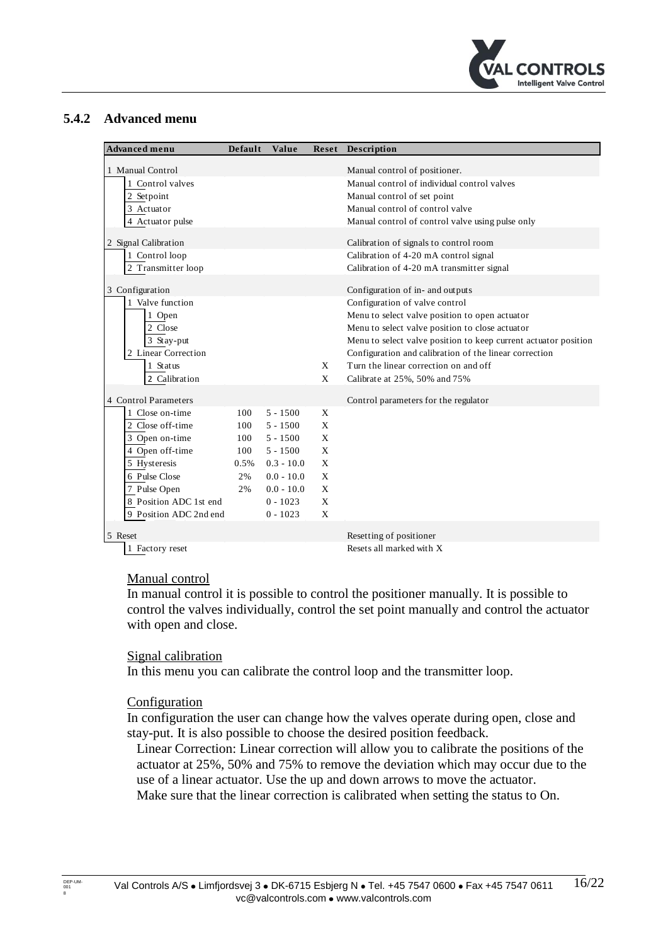

#### <span id="page-15-0"></span>**5.4.2 Advanced menu**

| Advanced menu                          | Default | Value        | Reset        | Description                                                     |
|----------------------------------------|---------|--------------|--------------|-----------------------------------------------------------------|
|                                        |         |              |              |                                                                 |
| 1 Manual Control                       |         |              |              | Manual control of positioner.                                   |
| 1 Control valves                       |         |              |              | Manual control of individual control valves                     |
| 2 Setpoint                             |         |              |              | Manual control of set point                                     |
| 3 Actuator                             |         |              |              | Manual control of control valve                                 |
| 4 Actuator pulse                       |         |              |              | Manual control of control valve using pulse only                |
| 2 Signal Calibration                   |         |              |              | Calibration of signals to control room                          |
| 1 Control loop                         |         |              |              | Calibration of 4-20 mA control signal                           |
| $2$ Transmitter loop                   |         |              |              | Calibration of 4-20 mA transmitter signal                       |
|                                        |         |              |              |                                                                 |
| 3 Configuration                        |         |              |              | Configuration of in- and outputs                                |
| 1 Valve function                       |         |              |              | Configuration of valve control                                  |
| 1 Open                                 |         |              |              | Menu to select valve position to open actuator                  |
| 2 Close                                |         |              |              | Menu to select valve position to close actuator                 |
| 3 Stay-put                             |         |              |              | Menu to select valve position to keep current actuator position |
| 2 Linear Correction                    |         |              |              | Configuration and calibration of the linear correction          |
| 1 Status                               |         |              | X            | Turn the linear correction on and off                           |
| 2 Calibration                          |         |              | $\mathbf{X}$ | Calibrate at 25%, 50% and 75%                                   |
| 4 Control Parameters                   |         |              |              | Control parameters for the regulator                            |
| 1 Close on-time                        | 100     | $5 - 1500$   | $\mathbf{X}$ |                                                                 |
| 2 Close off-time                       | 100     | $5 - 1500$   | X            |                                                                 |
| 3 Open on-time                         | 100     | $5 - 1500$   | X            |                                                                 |
| 4 Open off-time                        | 100     | $5 - 1500$   | $\mathbf{X}$ |                                                                 |
| 5 Hysteresis                           | 0.5%    | $0.3 - 10.0$ | X            |                                                                 |
| 6 Pulse Close                          |         |              | $\mathbf{x}$ |                                                                 |
|                                        | 2%      | $0.0 - 10.0$ |              |                                                                 |
| 7 Pulse Open<br>8 Position ADC 1st end | 2%      | $0.0 - 10.0$ | X            |                                                                 |
|                                        |         | $0 - 1023$   | X            |                                                                 |
| 9 Position ADC 2nd end                 |         | $0 - 1023$   | X            |                                                                 |
| 5 Reset                                |         |              |              | Resetting of positioner                                         |
| 1 Factory reset                        |         |              |              | Resets all marked with X                                        |

#### <span id="page-15-1"></span>Manual control

In manual control it is possible to control the positioner manually. It is possible to control the valves individually, control the set point manually and control the actuator with open and close.

#### <span id="page-15-2"></span>Signal calibration

In this menu you can calibrate the control loop and the transmitter loop.

#### <span id="page-15-3"></span>**Configuration**

In configuration the user can change how the valves operate during open, close and stay-put. It is also possible to choose the desired position feedback.

Linear Correction: Linear correction will allow you to calibrate the positions of the actuator at 25%, 50% and 75% to remove the deviation which may occur due to the use of a linear actuator. Use the up and down arrows to move the actuator. Make sure that the linear correction is calibrated when setting the status to On.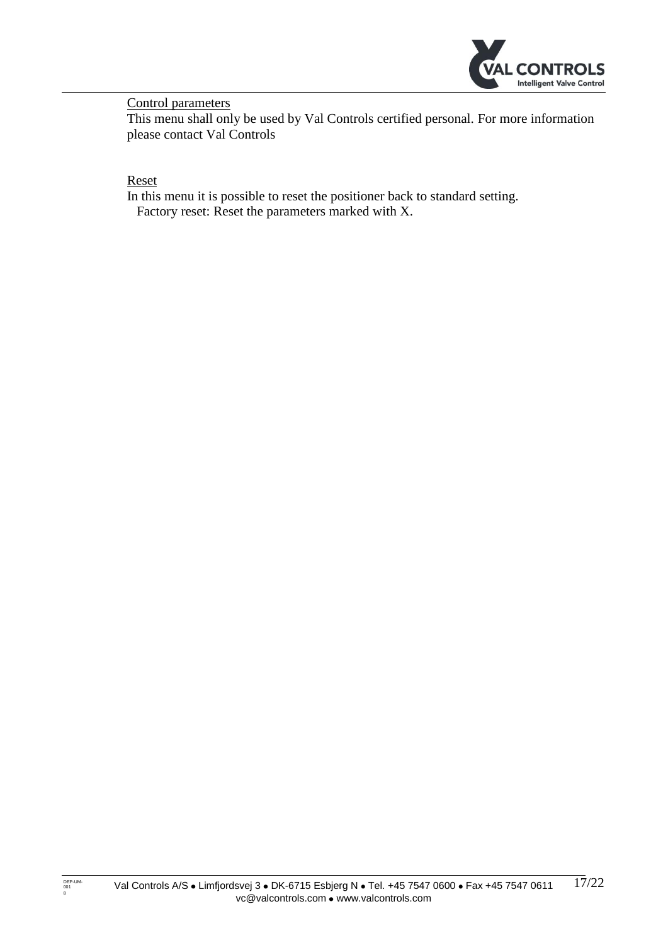

<span id="page-16-0"></span>Control parameters

This menu shall only be used by Val Controls certified personal. For more information please contact Val Controls

<span id="page-16-1"></span>Reset

In this menu it is possible to reset the positioner back to standard setting. Factory reset: Reset the parameters marked with X.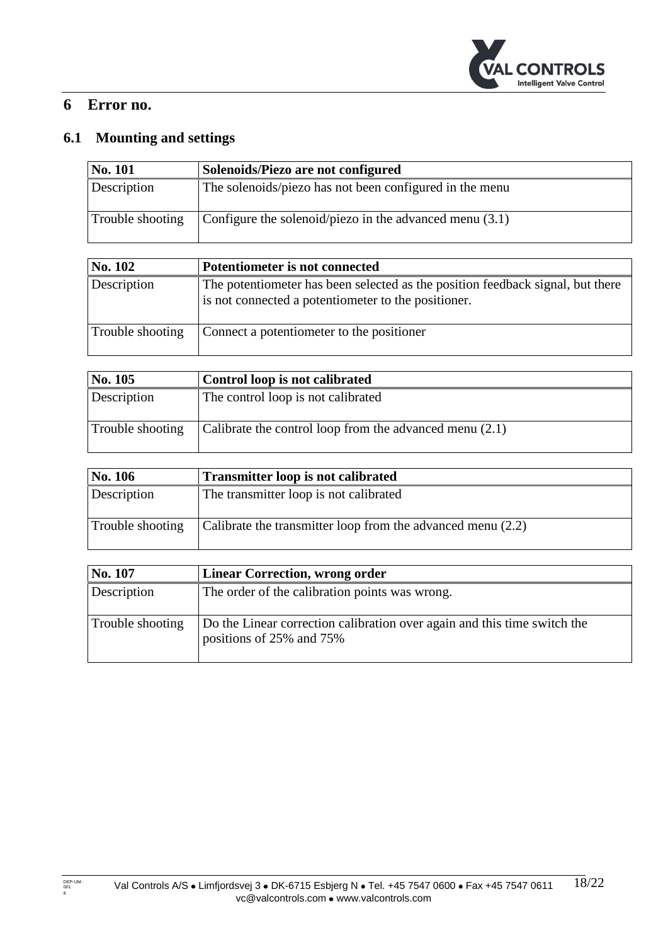

# <span id="page-17-0"></span>**6 Error no.**

# <span id="page-17-1"></span>**6.1 Mounting and settings**

| No. 101          | Solenoids/Piezo are not configured                        |
|------------------|-----------------------------------------------------------|
| Description      | The solenoids/piezo has not been configured in the menu   |
| Trouble shooting | Configure the solenoid/piezo in the advanced menu $(3.1)$ |

| <b>No. 102</b>   | Potentiometer is not connected                                                                                                        |
|------------------|---------------------------------------------------------------------------------------------------------------------------------------|
| Description      | The potentiometer has been selected as the position feedback signal, but there<br>is not connected a potentiometer to the positioner. |
| Trouble shooting | Connect a potentiometer to the positioner                                                                                             |

| No. 105          | Control loop is not calibrated                          |
|------------------|---------------------------------------------------------|
| Description      | The control loop is not calibrated                      |
| Trouble shooting | Calibrate the control loop from the advanced menu (2.1) |

| No. 106          | Transmitter loop is not calibrated                          |
|------------------|-------------------------------------------------------------|
| Description      | The transmitter loop is not calibrated                      |
| Trouble shooting | Calibrate the transmitter loop from the advanced menu (2.2) |

| No. 107          | <b>Linear Correction, wrong order</b>                                                                |
|------------------|------------------------------------------------------------------------------------------------------|
| Description      | The order of the calibration points was wrong.                                                       |
| Trouble shooting | Do the Linear correction calibration over again and this time switch the<br>positions of 25% and 75% |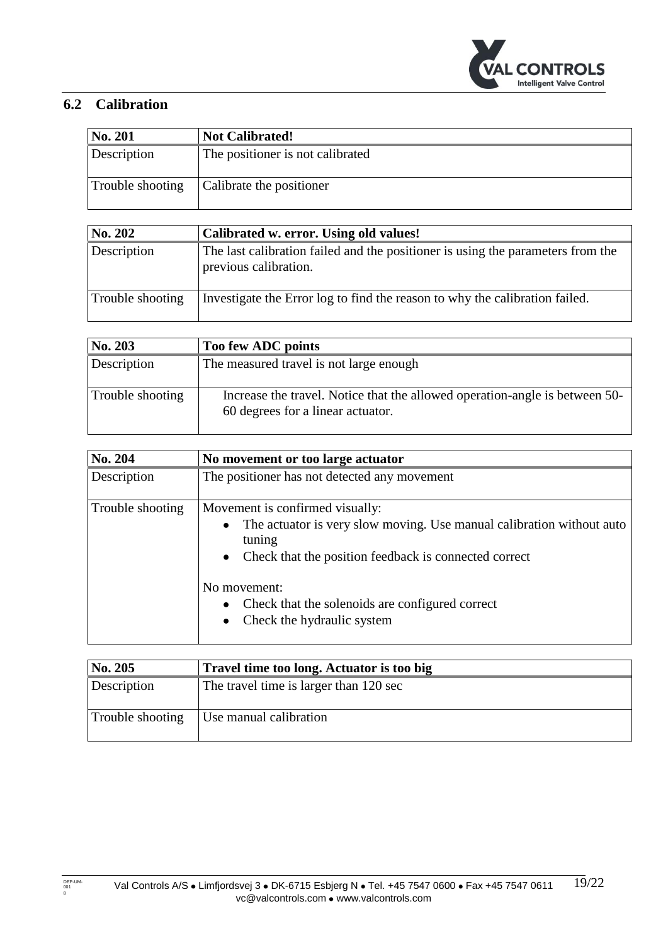

# <span id="page-18-0"></span>**6.2 Calibration**

| <b>No. 201</b>   | <b>Not Calibrated!</b>           |
|------------------|----------------------------------|
| Description      | The positioner is not calibrated |
| Trouble shooting | Calibrate the positioner         |

| <b>No. 202</b>   | Calibrated w. error. Using old values!                                                                   |
|------------------|----------------------------------------------------------------------------------------------------------|
| Description      | The last calibration failed and the positioner is using the parameters from the<br>previous calibration. |
| Trouble shooting | Investigate the Error log to find the reason to why the calibration failed.                              |

| No. 203          | Too few ADC points                                                                                               |
|------------------|------------------------------------------------------------------------------------------------------------------|
| Description      | The measured travel is not large enough                                                                          |
| Trouble shooting | Increase the travel. Notice that the allowed operation-angle is between 50-<br>60 degrees for a linear actuator. |

| No. 204          | No movement or too large actuator                                                                                                                                                                                                                |
|------------------|--------------------------------------------------------------------------------------------------------------------------------------------------------------------------------------------------------------------------------------------------|
| Description      | The positioner has not detected any movement                                                                                                                                                                                                     |
| Trouble shooting | Movement is confirmed visually:<br>The actuator is very slow moving. Use manual calibration without auto<br>tuning<br>• Check that the position feedback is connected correct<br>No movement:<br>Check that the solenoids are configured correct |
|                  | Check the hydraulic system                                                                                                                                                                                                                       |

| No. 205          | Travel time too long. Actuator is too big |
|------------------|-------------------------------------------|
| Description      | The travel time is larger than 120 sec    |
| Trouble shooting | Use manual calibration                    |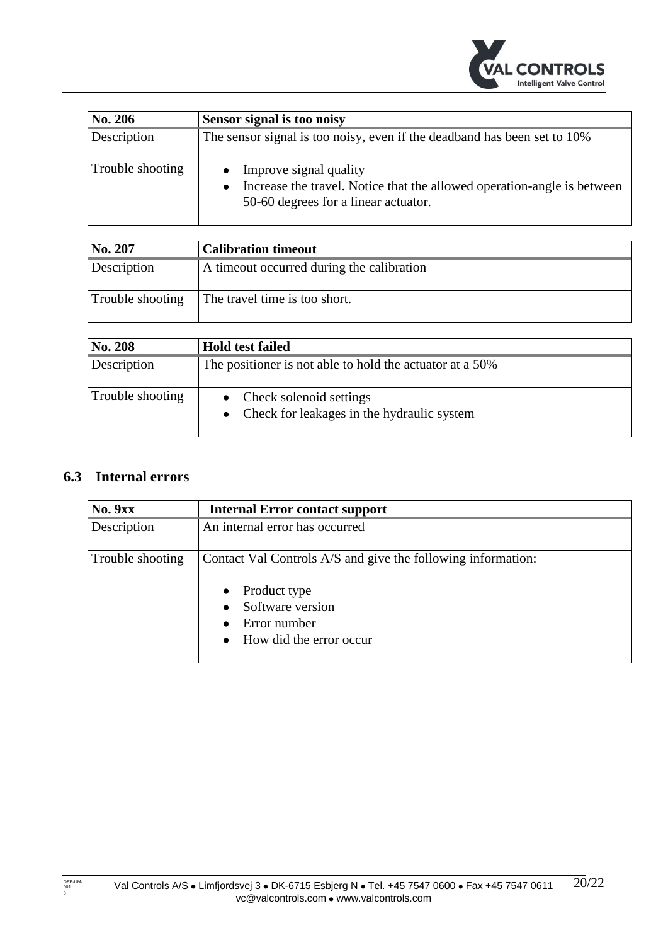

| <b>No. 206</b>   | Sensor signal is too noisy                                                                                                                |
|------------------|-------------------------------------------------------------------------------------------------------------------------------------------|
| Description      | The sensor signal is too noisy, even if the deadband has been set to 10%                                                                  |
| Trouble shooting | Improve signal quality<br>Increase the travel. Notice that the allowed operation-angle is between<br>50-60 degrees for a linear actuator. |

| No. 207          | <b>Calibration timeout</b>                |
|------------------|-------------------------------------------|
| Description      | A timeout occurred during the calibration |
| Trouble shooting | The travel time is too short.             |

| No. 208          | <b>Hold test failed</b>                                                 |
|------------------|-------------------------------------------------------------------------|
| Description      | The positioner is not able to hold the actuator at a 50%                |
| Trouble shooting | Check solenoid settings<br>• Check for leakages in the hydraulic system |

# <span id="page-19-0"></span>**6.3 Internal errors**

| <b>No. 9xx</b>   | <b>Internal Error contact support</b>                                                                                                                                   |
|------------------|-------------------------------------------------------------------------------------------------------------------------------------------------------------------------|
| Description      | An internal error has occurred                                                                                                                                          |
| Trouble shooting | Contact Val Controls A/S and give the following information:<br>Product type<br>$\bullet$<br>Software version<br>$\bullet$<br>Error number<br>• How did the error occur |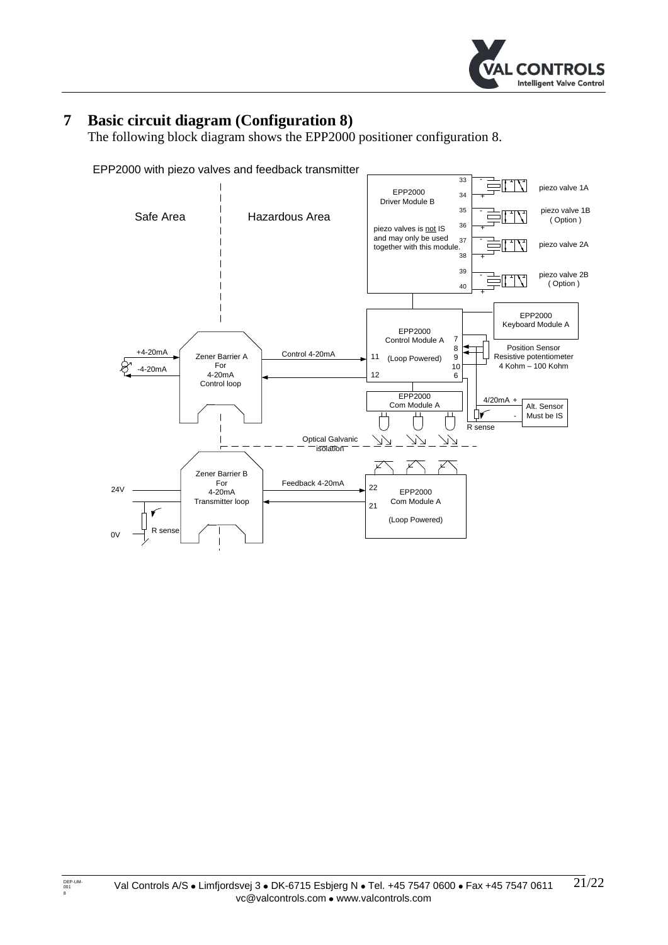

# <span id="page-20-0"></span>**7 Basic circuit diagram (Configuration 8)**

The following block diagram shows the EPP2000 positioner configuration 8.